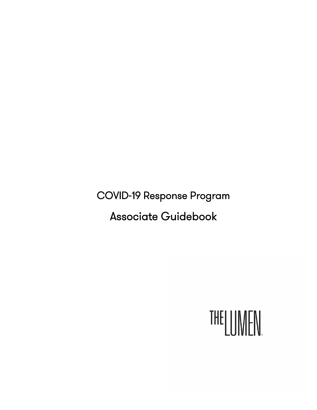COVID-19 Response Program

Associate Guidebook

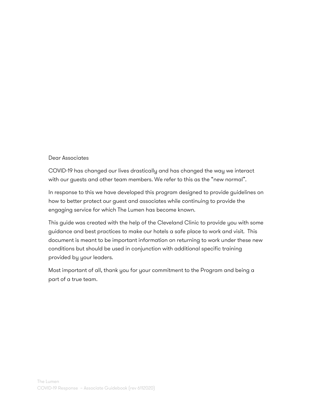#### Dear Associates

COVID-19 has changed our lives drastically and has changed the way we interact with our guests and other team members. We refer to this as the "new normal".

In response to this we have developed this program designed to provide guidelines on how to better protect our guest and associates while continuing to provide the engaging service for which The Lumen has become known.

This guide was created with the help of the Cleveland Clinic to provide you with some guidance and best practices to make our hotels a safe place to work and visit. This document is meant to be important information on returning to work under these new conditions but should be used in conjunction with additional specific training provided by your leaders.

Most important of all, thank you for your commitment to the Program and being a part of a true team.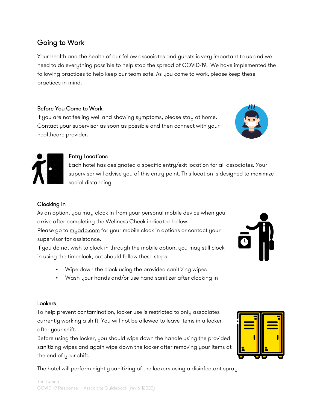# Going to Work

Your health and the health of our fellow associates and guests is very important to us and we need to do everything possible to help stop the spread of COVID-19. We have implemented the following practices to help keep our team safe. As you come to work, please keep these practices in mind.

# Before You Come to Work

If you are not feeling well and showing symptoms, please stay at home. Contact your supervisor as soon as possible and then connect with your healthcare provider.

# Entry Locations

Each hotel has designated a specific entry/exit location for all associates. Your supervisor will advise you of this entry point. This location is designed to maximize social distancing.

# Clocking In

As an option, you may clock in from your personal mobile device when you arrive after completing the Wellness Check indicated below.

Please go to myadp.com for your mobile clock in options or contact your supervisor for assistance.

If you do not wish to clock in through the mobile option, you may still clock in using the timeclock, but should follow these steps:

- Wipe down the clock using the provided sanitizing wipes
- Wash your hands and/or use hand sanitizer after clocking in

### **Lockers**

To help prevent contamination, locker use is restricted to only associates currently working a shift. You will not be allowed to leave items in a locker after your shift.

Before using the locker, you should wipe down the handle using the provided sanitizing wipes and again wipe down the locker after removing your items at the end of your shift.

The hotel will perform nightly sanitizing of the lockers using a disinfectant spray.





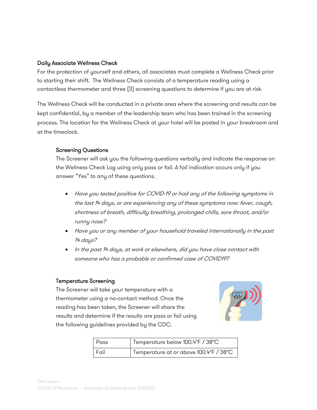#### Daily Associate Wellness Check

For the protection of yourself and others, all associates must complete a Wellness Check prior to starting their shift. The Wellness Check consists of a temperature reading using a contactless thermometer and three (3) screening questions to determine if you are at risk.

The Wellness Check will be conducted in a private area where the screening and results can be kept confidential, by a member of the leadership team who has been trained in the screening process. The location for the Wellness Check at your hotel will be posted in your breakroom and at the timeclock.

### Screening Questions

The Screener will ask you the following questions verbally and indicate the response on the Wellness Check Log using only pass or fail. A fail indication occurs only if you answer "Yes" to any of these questions.

- Have you tested positive for COVID-19 or had any of the following symptoms in the last 14 days, or are experiencing any of these symptoms now: fever, cough, shortness of breath, difficulty breathing, prolonged chills, sore throat, and/or runny nose?
- Have you or any member of your household traveled internationally in the past 14 days?
- In the past 14 days, at work or elsewhere, did you have close contact with someone who has a probable or confirmed case of COVID19?

#### Temperature Screening

The Screener will take your temperature with a thermometer using a no-contact method. Once the reading has been taken, the Screener will share the results and determine if the results are pass or fail using the following guidelines provided by the CDC.



| l Pass | Temperature below 100.4°F / 38°C       |
|--------|----------------------------------------|
| . Fail | Temperature at or above 100.4°F / 38°C |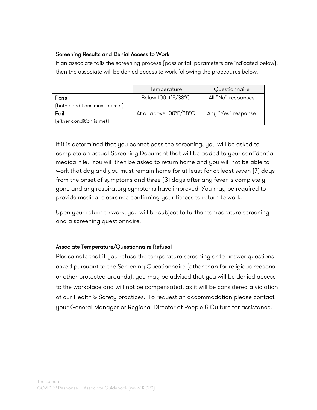## Screening Results and Denial Access to Work

If an associate fails the screening process (pass or fail parameters are indicated below), then the associate will be denied access to work following the procedures below.

|                               | Temperature            | Questionnaire      |
|-------------------------------|------------------------|--------------------|
| Pass                          | Below 100.4°F/38°C     | All "No" responses |
| (both conditions must be met) |                        |                    |
| Fail                          | At or above 100°F/38°C | Any "Yes" response |
| (either condition is met)     |                        |                    |

If it is determined that you cannot pass the screening, you will be asked to complete an actual Screening Document that will be added to your confidential medical file. You will then be asked to return home and you will not be able to work that day and you must remain home for at least for at least seven (7) days from the onset of symptoms and three (3) days after any fever is completely gone and any respiratory symptoms have improved. You may be required to provide medical clearance confirming your fitness to return to work.

Upon your return to work, you will be subject to further temperature screening and a screening questionnaire.

### Associate Temperature/Questionnaire Refusal

Please note that if you refuse the temperature screening or to answer questions asked pursuant to the Screening Questionnaire (other than for religious reasons or other protected grounds), you may be advised that you will be denied access to the workplace and will not be compensated, as it will be considered a violation of our Health & Safety practices. To request an accommodation please contact your General Manager or Regional Director of People & Culture for assistance.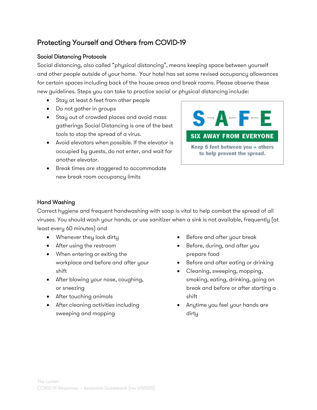# Protecting Yourself and Others from COVID-19

## Social Distancing Protocols

Social distancing, also called "physical distancing", means keeping space between yourself and other people outside of your home. Your hotel has set some revised occupancy allowances for certain spaces including back of the house areas and break rooms. Please observe these new guidelines. Steps you can take to practice social or physical distancing include:

- Stay at least 6 feet from other people
- Do not gather in groups
- Stay out of crowded places and avoid mass gatherings Social Distancing is one of the best tools to stop the spread of a virus.
- Avoid elevators when possible. If the elevator is occupied by guests, do not enter, and wait for another elevator.
- Break times are staggered to accommodate new break room occupancy limits



### Hand Washing

Correct hygiene and frequent handwashing with soap is vital to help combat the spread of all viruses. You should wash your hands, or use sanitizer when a sink is not available, frequently (at least every 60 minutes) and

- Whenever they look dirty
- After using the restroom
- When entering or exiting the workplace and before and after your shift
- After blowing your nose, coughing, or sneezing
- After touching animals
- After cleaning activities including sweeping and mopping
- Before and after your break
- Before, during, and after you prepare food
- Before and after eating or drinking
- Cleaning, sweeping, mopping, smoking, eating, drinking, going on break and before or after starting a shift
- Anytime you feel your hands are dirty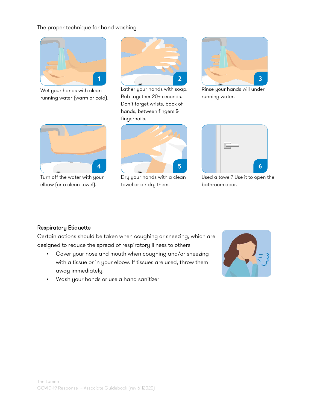### The proper technique for hand washing



Wet your hands with clean running water (warm or cold).



Lather your hands with soap. Rub together 20+ seconds. Don't forget wrists, back of hands, between fingers & fingernails.



Rinse your hands will under running water.



Turn off the water with your elbow (or a clean towel).



Dry your hands with a clean towel or air dry them.



Used a towel? Use it to open the bathroom door.

#### Respiratory Etiquette

Certain actions should be taken when coughing or sneezing, which are designed to reduce the spread of respiratory illness to others

- Cover your nose and mouth when coughing and/or sneezing with a tissue or in your elbow. If tissues are used, throw them away immediately.
- Wash your hands or use a hand sanitizer

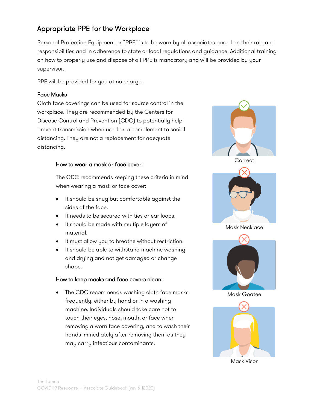# Appropriate PPE for the Workplace

Personal Protection Equipment or "PPE" is to be worn by all associates based on their role and responsibilities and in adherence to state or local regulations and guidance. Additional training on how to properly use and dispose of all PPE is mandatory and will be provided by your supervisor.

PPE will be provided for you at no charge.

#### Face Masks

Cloth face coverings can be used for source control in the workplace. They are recommended by the Centers for Disease Control and Prevention (CDC) to potentially help prevent transmission when used as a complement to social distancing. They are not a replacement for adequate distancing.

#### How to wear a mask or face cover:

The CDC recommends keeping these criteria in mind when wearing a mask or face cover:

- It should be snug but comfortable against the sides of the face.
- It needs to be secured with ties or ear loops.
- It should be made with multiple layers of material.
- It must allow you to breathe without restriction.
- It should be able to withstand machine washing and drying and not get damaged or change shape.

#### How to keep masks and face covers clean:

• The CDC recommends washing cloth face masks frequently, either by hand or in a washing machine. Individuals should take care not to touch their eyes, nose, mouth, or face when removing a worn face covering, and to wash their hands immediately after removing them as they may carry infectious contaminants.







Mask Necklace



Mask Goatee



Mask Visor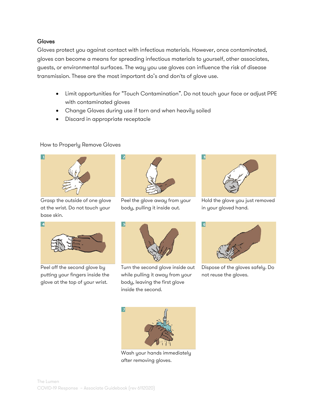#### Gloves

Gloves protect you against contact with infectious materials. However, once contaminated, gloves can become a means for spreading infectious materials to yourself, other associates, guests, or environmental surfaces. The way you use gloves can influence the risk of disease transmission. These are the most important do's and don'ts of glove use.

- Limit opportunities for "Touch Contamination". Do not touch your face or adjust PPE with contaminated gloves
- Change Gloves during use if torn and when heavily soiled
- Discard in appropriate receptacle

### How to Properly Remove Gloves



Grasp the outside of one glove at the wrist. Do not touch your base skin.



Peel the glove away from your body, pulling it inside out.



Hold the glove you just removed in your gloved hand.



Peel off the second glove by putting your fingers inside the glove at the top of your wrist.



Turn the second glove inside out while pulling it away from your body, leaving the first glove inside the second.



Dispose of the gloves safely. Do not reuse the gloves.



Wash your hands immediately after removing gloves.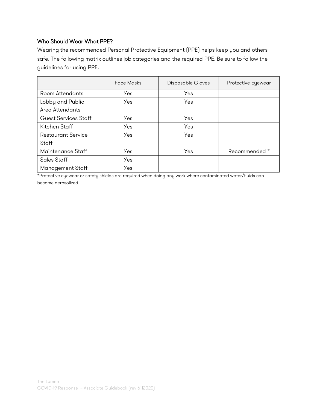## Who Should Wear What PPE?

Wearing the recommended Personal Protective Equipment (PPE) helps keep you and others safe. The following matrix outlines job categories and the required PPE. Be sure to follow the guidelines for using PPE.

|                           | <b>Face Masks</b> | Disposable Gloves | Protective Eyewear |
|---------------------------|-------------------|-------------------|--------------------|
| Room Attendants           | Yes               | Yes               |                    |
| Lobby and Public          | Yes               | Yes               |                    |
| Area Attendants           |                   |                   |                    |
| Guest Services Staff      | Yes               | Yes               |                    |
| Kitchen Staff             | Yes               | Yes               |                    |
| <b>Restaurant Service</b> | Yes               | Yes               |                    |
| Staff                     |                   |                   |                    |
| Maintenance Staff         | Yes               | Yes               | Recommended *      |
| <b>Sales Staff</b>        | Yes               |                   |                    |
| Management Staff          | Yes               |                   |                    |

\*Protective eyewear or safety shields are required when doing any work where contaminated water/fluids can become aerosolized.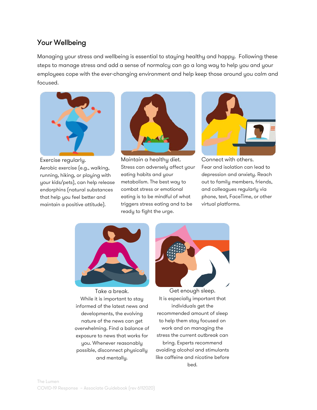# Your Wellbeing

Managing your stress and wellbeing is essential to staying healthy and happy. Following these steps to manage stress and add a sense of normalcy can go a long way to help you and your employees cope with the ever-changing environment and help keep those around you calm and focused.



Exercise regularly.

Aerobic exercise (e.g., walking, running, hiking, or playing with your kids/pets), can help release endorphins (natural substances that help you feel better and maintain a positive attitude).



Maintain a healthy diet. Stress can adversely affect your eating habits and your metabolism. The best way to combat stress or emotional eating is to be mindful of what triggers stress eating and to be ready to fight the urge.



Connect with others. Fear and isolation can lead to depression and anxiety. Reach out to family members, friends, and colleagues regularly via phone, text, FaceTime, or other virtual platforms.



Take a break. While it is important to stay informed of the latest news and developments, the evolving nature of the news can get overwhelming. Find a balance of exposure to news that works for you. Whenever reasonably possible, disconnect physically and mentally.



Get enough sleep. It is especially important that individuals get the recommended amount of sleep to help them stay focused on work and on managing the stress the current outbreak can bring. Experts recommend avoiding alcohol and stimulants like caffeine and nicotine before bed.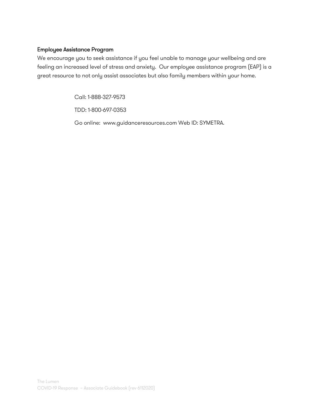### Employee Assistance Program

We encourage you to seek assistance if you feel unable to manage your wellbeing and are feeling an increased level of stress and anxiety. Our employee assistance program (EAP) is a great resource to not only assist associates but also family members within your home.

Call: 1-888-327-9573

TDD: 1-800-697-0353

Go online: www.guidanceresources.com Web ID: SYMETRA.